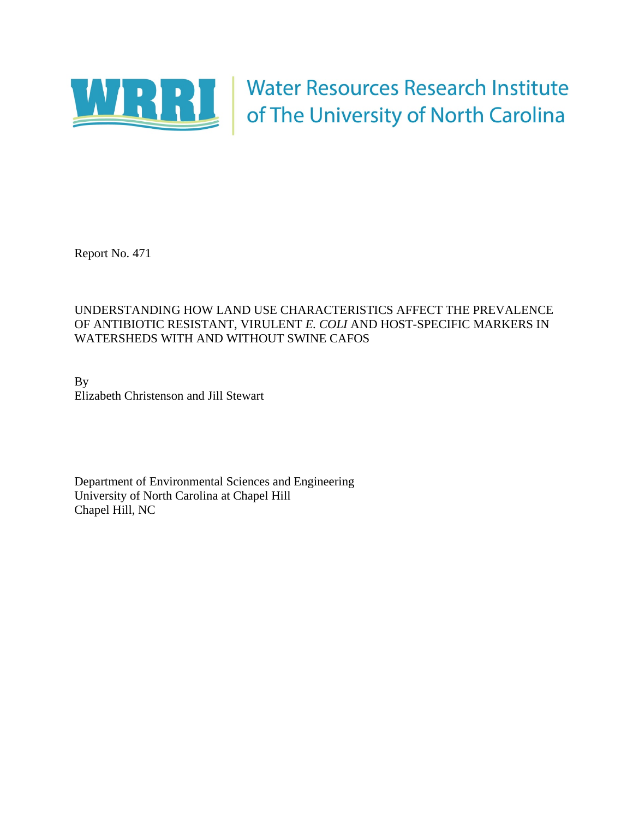

Water Resources Research Institute<br>of The University of North Carolina

Report No. 471

# UNDERSTANDING HOW LAND USE CHARACTERISTICS AFFECT THE PREVALENCE OF ANTIBIOTIC RESISTANT, VIRULENT *E. COLI* AND HOST-SPECIFIC MARKERS IN WATERSHEDS WITH AND WITHOUT SWINE CAFOS

By Elizabeth Christenson and Jill Stewart

Department of Environmental Sciences and Engineering University of North Carolina at Chapel Hill Chapel Hill, NC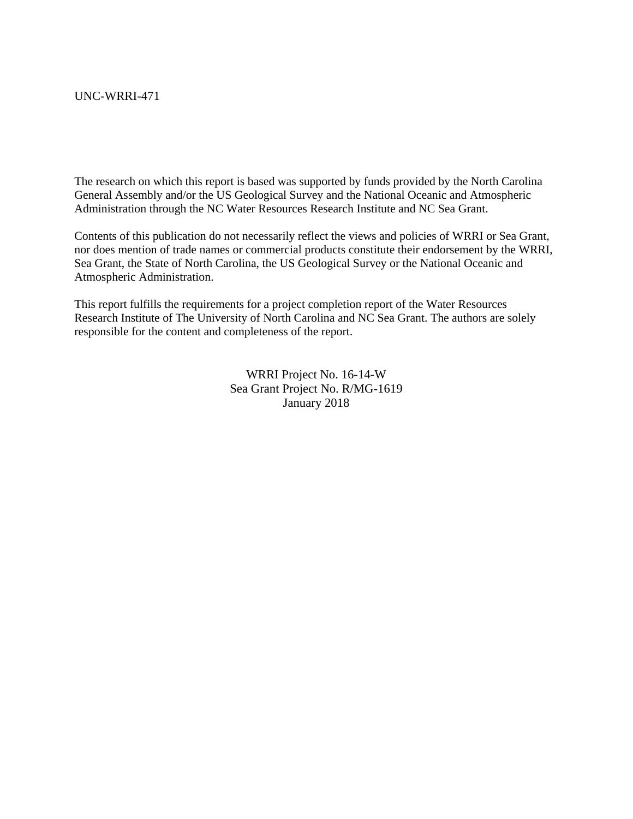#### UNC-WRRI-471

The research on which this report is based was supported by funds provided by the North Carolina General Assembly and/or the US Geological Survey and the National Oceanic and Atmospheric Administration through the NC Water Resources Research Institute and NC Sea Grant.

Contents of this publication do not necessarily reflect the views and policies of WRRI or Sea Grant, nor does mention of trade names or commercial products constitute their endorsement by the WRRI, Sea Grant, the State of North Carolina, the US Geological Survey or the National Oceanic and Atmospheric Administration.

This report fulfills the requirements for a project completion report of the Water Resources Research Institute of The University of North Carolina and NC Sea Grant. The authors are solely responsible for the content and completeness of the report.

> WRRI Project No. 16-14-W Sea Grant Project No. R/MG-1619 January 2018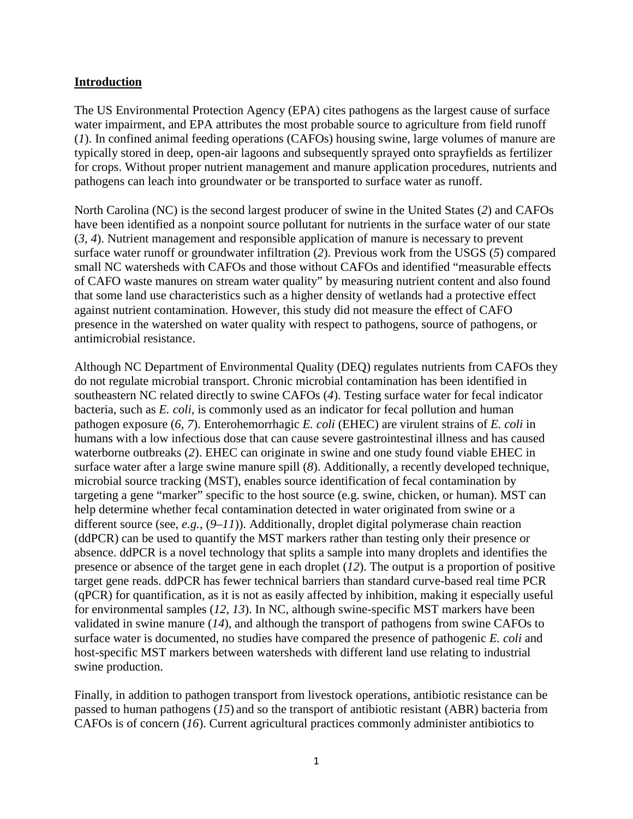### **Introduction**

The US Environmental Protection Agency (EPA) cites pathogens as the largest cause of surface water impairment, and EPA attributes the most probable source to agriculture from field runoff (*1*). In confined animal feeding operations (CAFOs) housing swine, large volumes of manure are typically stored in deep, open-air lagoons and subsequently sprayed onto sprayfields as fertilizer for crops. Without proper nutrient management and manure application procedures, nutrients and pathogens can leach into groundwater or be transported to surface water as runoff.

North Carolina (NC) is the second largest producer of swine in the United States (*2*) and CAFOs have been identified as a nonpoint source pollutant for nutrients in the surface water of our state (*3*, *4*). Nutrient management and responsible application of manure is necessary to prevent surface water runoff or groundwater infiltration (*2*). Previous work from the USGS (*5*) compared small NC watersheds with CAFOs and those without CAFOs and identified "measurable effects of CAFO waste manures on stream water quality" by measuring nutrient content and also found that some land use characteristics such as a higher density of wetlands had a protective effect against nutrient contamination. However, this study did not measure the effect of CAFO presence in the watershed on water quality with respect to pathogens, source of pathogens, or antimicrobial resistance.

Although NC Department of Environmental Quality (DEQ) regulates nutrients from CAFOs they do not regulate microbial transport. Chronic microbial contamination has been identified in southeastern NC related directly to swine CAFOs (*4*). Testing surface water for fecal indicator bacteria, such as *E. coli*, is commonly used as an indicator for fecal pollution and human pathogen exposure (*6*, *7*). Enterohemorrhagic *E. coli* (EHEC) are virulent strains of *E. coli* in humans with a low infectious dose that can cause severe gastrointestinal illness and has caused waterborne outbreaks (*2*). EHEC can originate in swine and one study found viable EHEC in surface water after a large swine manure spill (*8*). Additionally, a recently developed technique, microbial source tracking (MST), enables source identification of fecal contamination by targeting a gene "marker" specific to the host source (e.g. swine, chicken, or human). MST can help determine whether fecal contamination detected in water originated from swine or a different source (see, *e.g.*, (*9*–*11*)). Additionally, droplet digital polymerase chain reaction (ddPCR) can be used to quantify the MST markers rather than testing only their presence or absence. ddPCR is a novel technology that splits a sample into many droplets and identifies the presence or absence of the target gene in each droplet (*12*). The output is a proportion of positive target gene reads. ddPCR has fewer technical barriers than standard curve-based real time PCR (qPCR) for quantification, as it is not as easily affected by inhibition, making it especially useful for environmental samples (*12*, *13*). In NC, although swine-specific MST markers have been validated in swine manure (*14*), and although the transport of pathogens from swine CAFOs to surface water is documented, no studies have compared the presence of pathogenic *E. coli* and host-specific MST markers between watersheds with different land use relating to industrial swine production.

Finally, in addition to pathogen transport from livestock operations, antibiotic resistance can be passed to human pathogens (*15*) and so the transport of antibiotic resistant (ABR) bacteria from CAFOs is of concern (*16*). Current agricultural practices commonly administer antibiotics to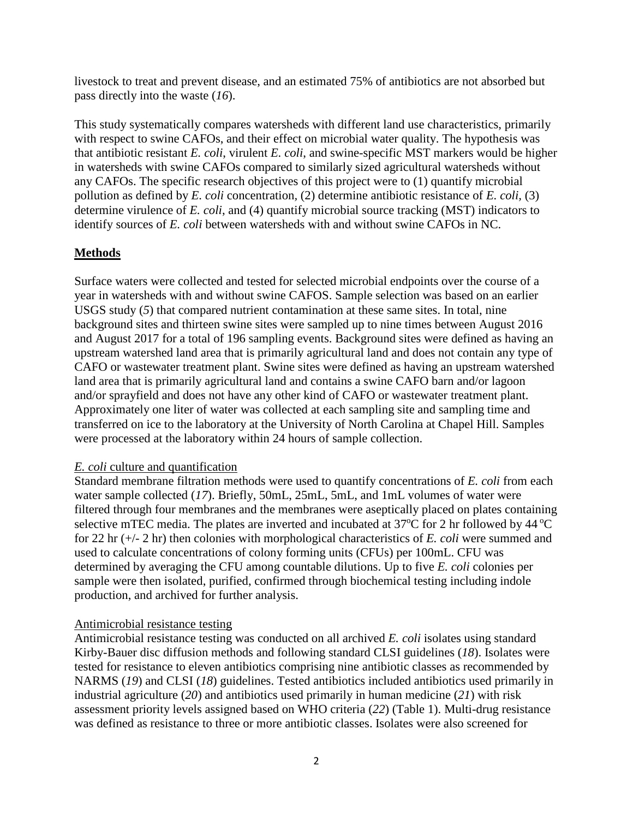livestock to treat and prevent disease, and an estimated 75% of antibiotics are not absorbed but pass directly into the waste (*16*).

This study systematically compares watersheds with different land use characteristics, primarily with respect to swine CAFOs, and their effect on microbial water quality. The hypothesis was that antibiotic resistant *E. coli*, virulent *E. coli*, and swine-specific MST markers would be higher in watersheds with swine CAFOs compared to similarly sized agricultural watersheds without any CAFOs. The specific research objectives of this project were to (1) quantify microbial pollution as defined by *E. coli* concentration*,* (2) determine antibiotic resistance of *E. coli,* (3) determine virulence of *E. coli*, and (4) quantify microbial source tracking (MST) indicators to identify sources of *E. coli* between watersheds with and without swine CAFOs in NC.

## **Methods**

Surface waters were collected and tested for selected microbial endpoints over the course of a year in watersheds with and without swine CAFOS. Sample selection was based on an earlier USGS study (*5*) that compared nutrient contamination at these same sites. In total, nine background sites and thirteen swine sites were sampled up to nine times between August 2016 and August 2017 for a total of 196 sampling events. Background sites were defined as having an upstream watershed land area that is primarily agricultural land and does not contain any type of CAFO or wastewater treatment plant. Swine sites were defined as having an upstream watershed land area that is primarily agricultural land and contains a swine CAFO barn and/or lagoon and/or sprayfield and does not have any other kind of CAFO or wastewater treatment plant. Approximately one liter of water was collected at each sampling site and sampling time and transferred on ice to the laboratory at the University of North Carolina at Chapel Hill. Samples were processed at the laboratory within 24 hours of sample collection.

#### *E. coli* culture and quantification

Standard membrane filtration methods were used to quantify concentrations of *E. coli* from each water sample collected (*17*). Briefly, 50mL, 25mL, 5mL, and 1mL volumes of water were filtered through four membranes and the membranes were aseptically placed on plates containing selective mTEC media. The plates are inverted and incubated at  $37^{\circ}$ C for 2 hr followed by 44  $^{\circ}$ C for 22 hr (+/- 2 hr) then colonies with morphological characteristics of *E. coli* were summed and used to calculate concentrations of colony forming units (CFUs) per 100mL. CFU was determined by averaging the CFU among countable dilutions. Up to five *E. coli* colonies per sample were then isolated, purified, confirmed through biochemical testing including indole production, and archived for further analysis.

## Antimicrobial resistance testing

Antimicrobial resistance testing was conducted on all archived *E. coli* isolates using standard Kirby-Bauer disc diffusion methods and following standard CLSI guidelines (*18*). Isolates were tested for resistance to eleven antibiotics comprising nine antibiotic classes as recommended by NARMS (*19*) and CLSI (*18*) guidelines. Tested antibiotics included antibiotics used primarily in industrial agriculture (*20*) and antibiotics used primarily in human medicine (*21*) with risk assessment priority levels assigned based on WHO criteria (*22*) (Table 1). Multi-drug resistance was defined as resistance to three or more antibiotic classes. Isolates were also screened for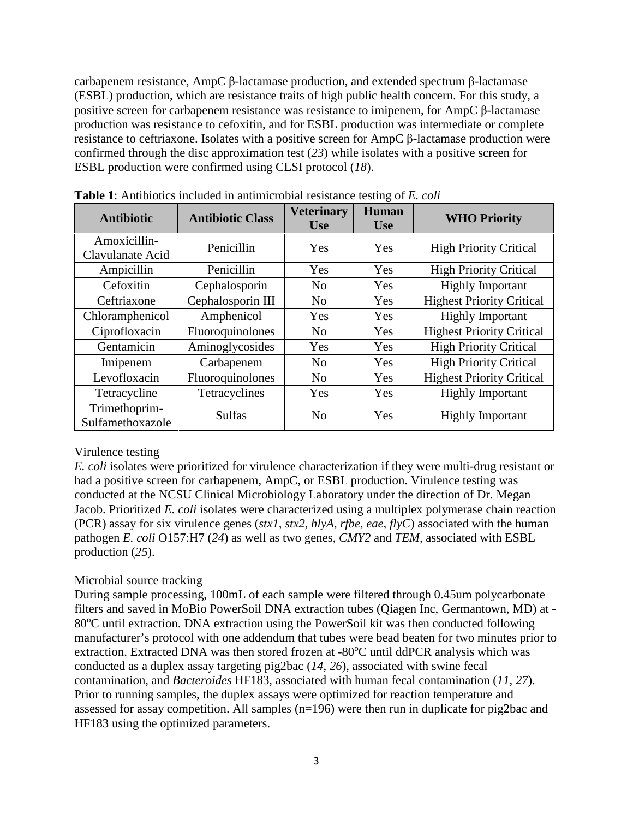carbapenem resistance, AmpC β-lactamase production, and extended spectrum β-lactamase (ESBL) production, which are resistance traits of high public health concern. For this study, a positive screen for carbapenem resistance was resistance to imipenem, for AmpC β-lactamase production was resistance to cefoxitin, and for ESBL production was intermediate or complete resistance to ceftriaxone. Isolates with a positive screen for AmpC β-lactamase production were confirmed through the disc approximation test (*23*) while isolates with a positive screen for ESBL production were confirmed using CLSI protocol (*18*).

| <b>Antibiotic</b>                 | <b>Antibiotic Class</b> | <b>Veterinary</b><br><b>Human</b><br><b>Use</b><br><b>Use</b> |     | <b>WHO Priority</b>              |  |
|-----------------------------------|-------------------------|---------------------------------------------------------------|-----|----------------------------------|--|
| Amoxicillin-<br>Clavulanate Acid  | Penicillin              | Yes                                                           | Yes | <b>High Priority Critical</b>    |  |
| Ampicillin                        | Penicillin              | Yes                                                           | Yes | <b>High Priority Critical</b>    |  |
| Cefoxitin                         | Cephalosporin           | N <sub>0</sub>                                                | Yes | <b>Highly Important</b>          |  |
| Ceftriaxone                       | Cephalosporin III       | N <sub>0</sub>                                                | Yes | <b>Highest Priority Critical</b> |  |
| Chloramphenicol                   | Amphenicol              | Yes                                                           | Yes | <b>Highly Important</b>          |  |
| Ciprofloxacin                     | Fluoroquinolones        | N <sub>0</sub>                                                | Yes | <b>Highest Priority Critical</b> |  |
| Gentamicin                        | Aminoglycosides         | Yes                                                           | Yes | <b>High Priority Critical</b>    |  |
| Imipenem                          | Carbapenem              | N <sub>0</sub>                                                | Yes | <b>High Priority Critical</b>    |  |
| Levofloxacin                      | Fluoroquinolones        | N <sub>0</sub>                                                | Yes | <b>Highest Priority Critical</b> |  |
| Tetracycline                      | Tetracyclines           | Yes                                                           | Yes | <b>Highly Important</b>          |  |
| Trimethoprim-<br>Sulfamethoxazole | <b>Sulfas</b>           | N <sub>o</sub>                                                | Yes | <b>Highly Important</b>          |  |

**Table 1**: Antibiotics included in antimicrobial resistance testing of *E. coli*

## Virulence testing

*E. coli* isolates were prioritized for virulence characterization if they were multi-drug resistant or had a positive screen for carbapenem, AmpC, or ESBL production. Virulence testing was conducted at the NCSU Clinical Microbiology Laboratory under the direction of Dr. Megan Jacob. Prioritized *E. coli* isolates were characterized using a multiplex polymerase chain reaction (PCR) assay for six virulence genes (*stx1, stx2, hlyA, rfbe, eae, flyC*) associated with the human pathogen *E. coli* O157:H7 (*24*) as well as two genes, *CMY2* and *TEM,* associated with ESBL production (*25*).

## Microbial source tracking

During sample processing, 100mL of each sample were filtered through 0.45um polycarbonate filters and saved in MoBio PowerSoil DNA extraction tubes (Qiagen Inc, Germantown, MD) at - 80°C until extraction. DNA extraction using the PowerSoil kit was then conducted following manufacturer's protocol with one addendum that tubes were bead beaten for two minutes prior to extraction. Extracted DNA was then stored frozen at -80°C until ddPCR analysis which was conducted as a duplex assay targeting pig2bac (*14*, *26*), associated with swine fecal contamination, and *Bacteroides* HF183, associated with human fecal contamination (*11*, *27*). Prior to running samples, the duplex assays were optimized for reaction temperature and assessed for assay competition. All samples (n=196) were then run in duplicate for pig2bac and HF183 using the optimized parameters.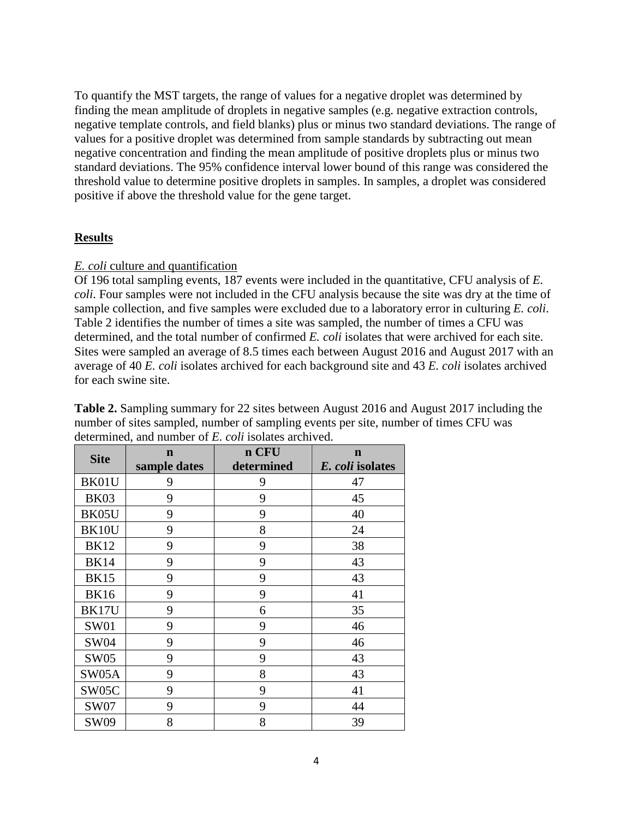To quantify the MST targets, the range of values for a negative droplet was determined by finding the mean amplitude of droplets in negative samples (e.g. negative extraction controls, negative template controls, and field blanks) plus or minus two standard deviations. The range of values for a positive droplet was determined from sample standards by subtracting out mean negative concentration and finding the mean amplitude of positive droplets plus or minus two standard deviations. The 95% confidence interval lower bound of this range was considered the threshold value to determine positive droplets in samples. In samples, a droplet was considered positive if above the threshold value for the gene target.

#### **Results**

### *E. coli* culture and quantification

Of 196 total sampling events, 187 events were included in the quantitative, CFU analysis of *E. coli*. Four samples were not included in the CFU analysis because the site was dry at the time of sample collection, and five samples were excluded due to a laboratory error in culturing *E. coli*. Table 2 identifies the number of times a site was sampled, the number of times a CFU was determined, and the total number of confirmed *E. coli* isolates that were archived for each site. Sites were sampled an average of 8.5 times each between August 2016 and August 2017 with an average of 40 *E. coli* isolates archived for each background site and 43 *E. coli* isolates archived for each swine site.

| <b>Site</b> | n CFU<br>$\mathbf n$ |                  | $\mathbf n$ |
|-------------|----------------------|------------------|-------------|
|             | sample dates         | E. coli isolates |             |
| BK01U       | 9                    | 9                | 47          |
| <b>BK03</b> | 9                    | 9                | 45          |
| BK05U       | 9                    | 9                | 40          |
| BK10U       | 9                    | 8                | 24          |
| <b>BK12</b> | 9                    | 9                | 38          |
| <b>BK14</b> | 9                    | 9                | 43          |
| <b>BK15</b> | 9                    | 9                | 43          |
| <b>BK16</b> | 9                    | 9                | 41          |
| BK17U       | 9                    | 6                | 35          |
| <b>SW01</b> | 9                    | 9                | 46          |
| SW04        | 9                    | 9                | 46          |
| <b>SW05</b> | 9                    | 9                | 43          |
| SW05A       | 9                    | 8                | 43          |
| SW05C       | 9                    | 9                | 41          |
| <b>SW07</b> | 9                    | 9                | 44          |
| SW09        | 8                    | 8                | 39          |

**Table 2.** Sampling summary for 22 sites between August 2016 and August 2017 including the number of sites sampled, number of sampling events per site, number of times CFU was determined, and number of *E. coli* isolates archived.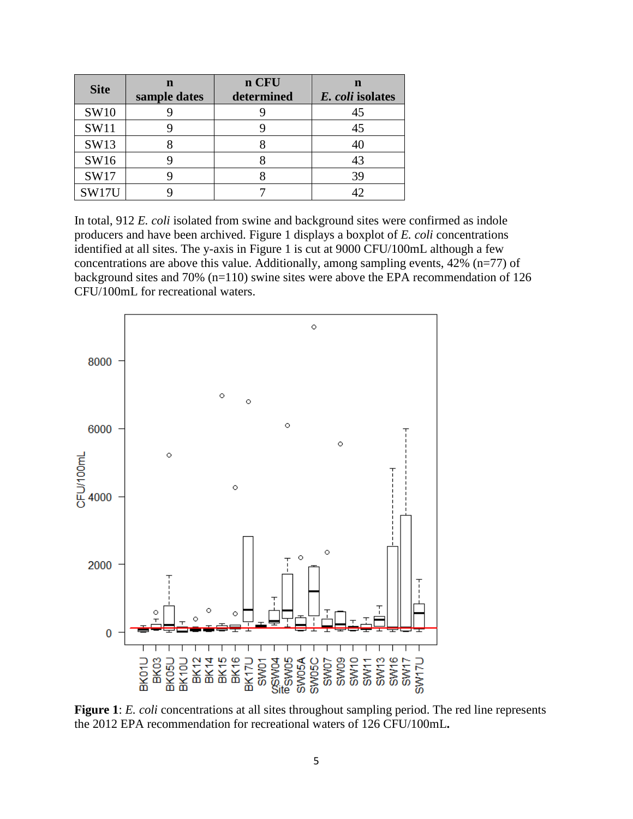| <b>Site</b> | n<br>sample dates | n CFU<br>determined | E. coli isolates |
|-------------|-------------------|---------------------|------------------|
| <b>SW10</b> |                   |                     | 45               |
| <b>SW11</b> |                   |                     | 45               |
| SW13        |                   |                     |                  |
| SW16        |                   |                     | 43               |
| SW17        |                   |                     | 39               |
| SW17U       |                   |                     |                  |

In total, 912 *E. coli* isolated from swine and background sites were confirmed as indole producers and have been archived. Figure 1 displays a boxplot of *E. coli* concentrations identified at all sites. The y-axis in Figure 1 is cut at 9000 CFU/100mL although a few concentrations are above this value. Additionally, among sampling events, 42% (n=77) of background sites and 70% (n=110) swine sites were above the EPA recommendation of 126 CFU/100mL for recreational waters.



Figure 1: *E. coli* concentrations at all sites throughout sampling period. The red line represents the 2012 EPA recommendation for recreational waters of 126 CFU/100mL**.**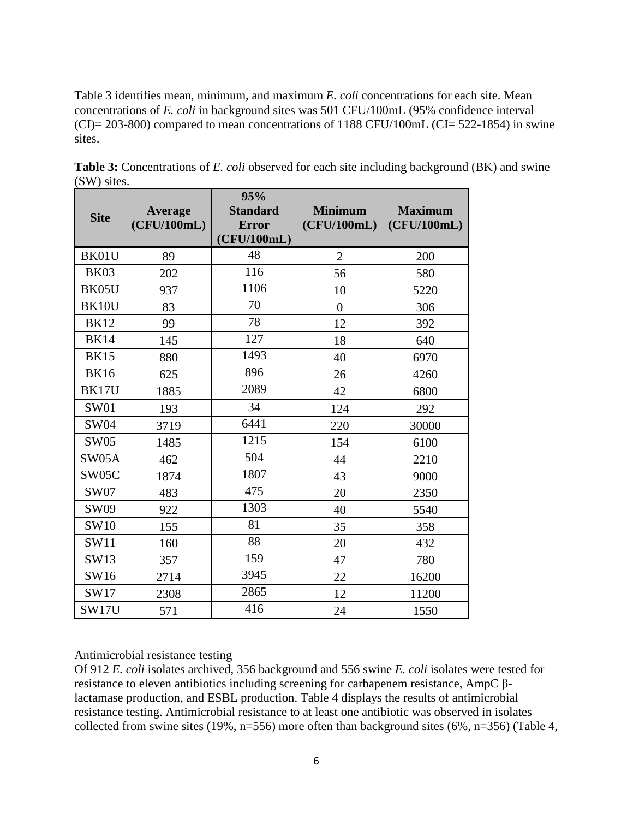Table 3 identifies mean, minimum, and maximum *E. coli* concentrations for each site. Mean concentrations of *E. coli* in background sites was 501 CFU/100mL (95% confidence interval  $(CI) = 203-800$ ) compared to mean concentrations of 1188 CFU/100mL  $(CI = 522-1854)$  in swine sites.

| <b>Site</b>  | Average<br>(CFU/100mL) | 95%<br><b>Standard</b><br><b>Error</b><br>(CFU/100mL) | <b>Minimum</b><br>(CFU/100mL) | <b>Maximum</b><br>(CFU/100mL) |
|--------------|------------------------|-------------------------------------------------------|-------------------------------|-------------------------------|
| BK01U        | 89                     | 48                                                    | $\overline{2}$                | 200                           |
| <b>BK03</b>  | 202                    | 116                                                   | 56                            | 580                           |
| BK05U        | 937                    | 1106                                                  | 10                            | 5220                          |
| BK10U        | 83                     | 70                                                    | $\overline{0}$                | 306                           |
| <b>BK12</b>  | 99                     | 78                                                    | 12                            | 392                           |
| <b>BK14</b>  | 145                    | 127                                                   | 18                            | 640                           |
| <b>BK15</b>  | 880                    | 1493                                                  | 40                            | 6970                          |
| <b>BK16</b>  | 625                    | 896                                                   | 26                            | 4260                          |
| <b>BK17U</b> | 1885                   | 2089                                                  | 42                            | 6800                          |
| <b>SW01</b>  | 193                    | 34                                                    | 124                           | 292                           |
| <b>SW04</b>  | 3719                   | 6441                                                  | 220                           | 30000                         |
| <b>SW05</b>  | 1485                   | 1215                                                  | 154                           | 6100                          |
| SW05A        | 462                    | 504                                                   | 44                            | 2210                          |
| SW05C        | 1874                   | 1807                                                  | 43                            | 9000                          |
| <b>SW07</b>  | 483                    | 475                                                   | 20                            | 2350                          |
| SW09         | 922                    | 1303                                                  | 40                            | 5540                          |
| <b>SW10</b>  | 155                    | 81                                                    | 35                            | 358                           |
| <b>SW11</b>  | 160                    | 88                                                    | 20                            | 432                           |
| SW13         | 357                    | 159                                                   | 47                            | 780                           |
| SW16         | 2714                   | 3945                                                  | 22                            | 16200                         |
| SW17         | 2308                   | 2865                                                  | 12                            | 11200                         |
| SW17U        | 571                    | 416                                                   | 24                            | 1550                          |

**Table 3:** Concentrations of *E. coli* observed for each site including background (BK) and swine (SW) sites.

### Antimicrobial resistance testing

Of 912 *E. coli* isolates archived, 356 background and 556 swine *E. coli* isolates were tested for resistance to eleven antibiotics including screening for carbapenem resistance, AmpC βlactamase production, and ESBL production. Table 4 displays the results of antimicrobial resistance testing. Antimicrobial resistance to at least one antibiotic was observed in isolates collected from swine sites (19%, n=556) more often than background sites (6%, n=356) (Table 4,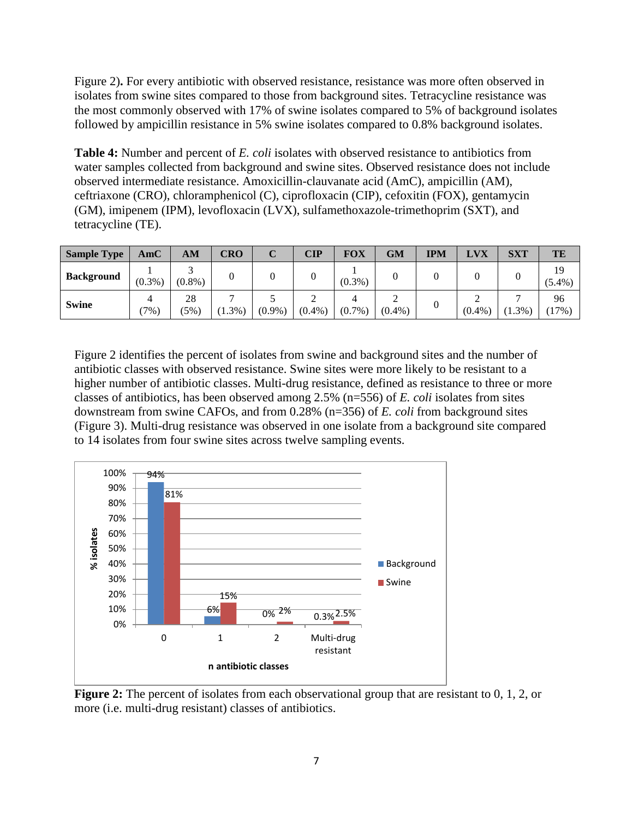Figure 2). For every antibiotic with observed resistance, resistance was more often observed in isolates from swine sites compared to those from background sites. Tetracycline resistance was the most commonly observed with 17% of swine isolates compared to 5% of background isolates followed by ampicillin resistance in 5% swine isolates compared to 0.8% background isolates.

**Table 4:** Number and percent of *E. coli* isolates with observed resistance to antibiotics from water samples collected from background and swine sites. Observed resistance does not include observed intermediate resistance. Amoxicillin-clauvanate acid (AmC), ampicillin (AM), ceftriaxone (CRO), chloramphenicol (C), ciprofloxacin (CIP), cefoxitin (FOX), gentamycin (GM), imipenem (IPM), levofloxacin (LVX), sulfamethoxazole-trimethoprim (SXT), and tetracycline (TE).

| <b>Sample Type</b> | AmC       | AM            | CRO      | ັ         | $\mathbf{CIP}$ | <b>FOX</b> | GM        | <b>IPM</b> | LVX       | <b>SXT</b> | TE              |
|--------------------|-----------|---------------|----------|-----------|----------------|------------|-----------|------------|-----------|------------|-----------------|
| <b>Background</b>  | $(0.3\%)$ | $(0.8\%)$     |          |           |                | $(0.3\%)$  |           |            |           |            | 19<br>$(5.4\%)$ |
| <b>Swine</b>       | $(7\%)$   | 28<br>$(5\%)$ | $1.3%$ ) | $(0.9\%)$ | $(0.4\%)$      | $(0.7\%)$  | $(0.4\%)$ |            | $(0.4\%)$ | $1.3\%$ )  | 96<br>(17%)     |

Figure 2 identifies the percent of isolates from swine and background sites and the number of antibiotic classes with observed resistance. Swine sites were more likely to be resistant to a higher number of antibiotic classes. Multi-drug resistance, defined as resistance to three or more classes of antibiotics, has been observed among 2.5% (n=556) of *E. coli* isolates from sites downstream from swine CAFOs, and from 0.28% (n=356) of *E. coli* from background sites (Figure 3). Multi-drug resistance was observed in one isolate from a background site compared to 14 isolates from four swine sites across twelve sampling events.



**Figure 2:** The percent of isolates from each observational group that are resistant to 0, 1, 2, or more (i.e. multi-drug resistant) classes of antibiotics.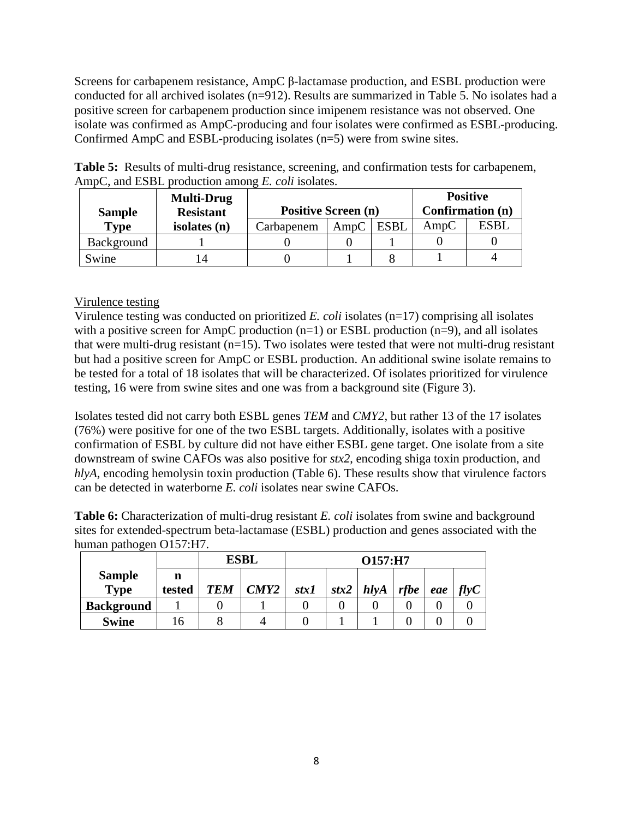Screens for carbapenem resistance, AmpC β-lactamase production, and ESBL production were conducted for all archived isolates (n=912). Results are summarized in Table 5. No isolates had a positive screen for carbapenem production since imipenem resistance was not observed. One isolate was confirmed as AmpC-producing and four isolates were confirmed as ESBL-producing. Confirmed AmpC and ESBL-producing isolates (n=5) were from swine sites.

|               | <b>Multi-Drug</b> |                                   | <b>Positive</b>  |  |      |             |
|---------------|-------------------|-----------------------------------|------------------|--|------|-------------|
| <b>Sample</b> | <b>Resistant</b>  | <b>Positive Screen (n)</b>        | Confirmation (n) |  |      |             |
| <b>Type</b>   | isolates $(n)$    | <b>ESBL</b><br>AmpC<br>Carbapenem |                  |  | AmpC | <b>ESBL</b> |
| Background    |                   |                                   |                  |  |      |             |
| Swine         |                   |                                   |                  |  |      |             |

**Table 5:** Results of multi-drug resistance, screening, and confirmation tests for carbapenem, AmpC, and ESBL production among *E. coli* isolates.

# Virulence testing

Virulence testing was conducted on prioritized *E. coli* isolates (n=17) comprising all isolates with a positive screen for AmpC production  $(n=1)$  or ESBL production  $(n=9)$ , and all isolates that were multi-drug resistant (n=15). Two isolates were tested that were not multi-drug resistant but had a positive screen for AmpC or ESBL production. An additional swine isolate remains to be tested for a total of 18 isolates that will be characterized. Of isolates prioritized for virulence testing, 16 were from swine sites and one was from a background site (Figure 3).

Isolates tested did not carry both ESBL genes *TEM* and *CMY2*, but rather 13 of the 17 isolates (76%) were positive for one of the two ESBL targets. Additionally, isolates with a positive confirmation of ESBL by culture did not have either ESBL gene target. One isolate from a site downstream of swine CAFOs was also positive for *stx2*, encoding shiga toxin production, and *hlyA*, encoding hemolysin toxin production (Table 6). These results show that virulence factors can be detected in waterborne *E. coli* isolates near swine CAFOs.

**Table 6:** Characterization of multi-drug resistant *E. coli* isolates from swine and background sites for extended-spectrum beta-lactamase (ESBL) production and genes associated with the human pathogen O157:H7.

|                       |             |            | <b>ESBL</b> | O157:H7 |      |         |      |     |      |
|-----------------------|-------------|------------|-------------|---------|------|---------|------|-----|------|
| <b>Sample</b><br>Type | n<br>tested | <b>TEM</b> | CMY2        | stx1    | stx2 | h l v A | rfbe | eae | flyC |
| <b>Background</b>     |             |            |             |         |      |         |      |     |      |
| <b>Swine</b>          |             |            |             |         |      |         |      |     |      |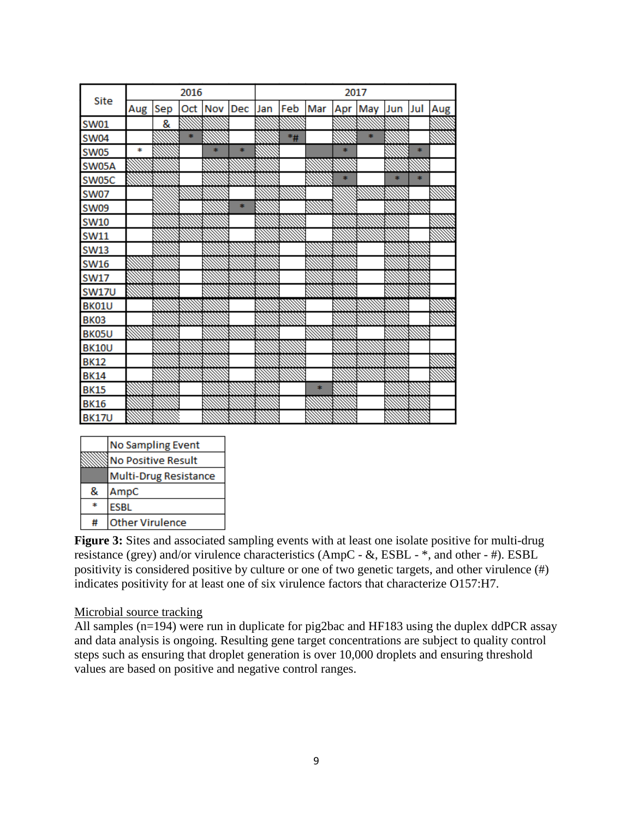|              | 2016   |     |   | 2017    |               |     |     |     |     |     |     |     |     |
|--------------|--------|-----|---|---------|---------------|-----|-----|-----|-----|-----|-----|-----|-----|
| Site         | Aug    | Sep |   | Oct Nov | Dec           | Jan | Feb | Mar | Apr | May | Jun | Jul | Aug |
| <b>SW01</b>  |        | 8   |   |         |               |     |     |     |     |     |     |     |     |
| <b>SW04</b>  |        |     | ÷ |         |               |     | *#  |     |     | sk. |     |     |     |
| <b>SW05</b>  | $\ast$ |     |   |         | sk.           |     |     |     | d.  |     |     | *   |     |
| SW05A        |        |     |   |         |               |     |     |     |     |     |     |     |     |
| SW05C        |        |     |   |         |               |     |     |     | \$  |     | sk. | ÷.  |     |
| <b>SW07</b>  |        |     |   |         |               |     |     |     |     |     |     |     |     |
| <b>SW09</b>  |        |     |   |         | $\frac{1}{2}$ |     |     |     |     |     |     |     |     |
| <b>SW10</b>  |        |     |   |         |               |     |     |     |     |     |     |     |     |
| <b>SW11</b>  |        |     |   |         |               |     |     |     |     |     |     |     |     |
| <b>SW13</b>  |        |     |   |         |               |     |     |     |     |     |     |     |     |
| <b>SW16</b>  |        |     |   |         |               |     |     |     |     |     |     |     |     |
| <b>SW17</b>  |        |     |   |         |               |     |     |     |     |     |     |     |     |
| <b>SW17U</b> |        |     |   |         |               |     |     |     |     |     |     |     |     |
| BK01U        |        |     |   |         |               |     |     |     |     |     |     |     |     |
| <b>BK03</b>  |        |     |   |         |               |     |     |     |     |     |     |     |     |
| BK05U        |        |     |   |         |               |     |     |     |     |     |     |     |     |
| <b>BK10U</b> |        |     |   |         |               |     |     |     |     |     |     |     |     |
| <b>BK12</b>  |        |     |   |         |               |     |     |     |     |     |     |     |     |
| <b>BK14</b>  |        |     |   |         |               |     |     |     |     |     |     |     |     |
| <b>BK15</b>  |        |     |   |         |               |     |     | sk. |     |     |     |     |     |
| <b>BK16</b>  |        |     |   |         |               |     |     |     |     |     |     |     |     |
| <b>BK17U</b> |        |     |   |         |               |     |     |     |     |     |     |     |     |

|   | <b>No Sampling Event</b>  |
|---|---------------------------|
|   | <b>No Positive Result</b> |
|   | Multi-Drug Resistance     |
| 8 | AmpC                      |
|   | <b>ESBL</b>               |
| # | <b>Other Virulence</b>    |

**Figure 3:** Sites and associated sampling events with at least one isolate positive for multi-drug resistance (grey) and/or virulence characteristics (AmpC - &, ESBL - \*, and other - #). ESBL positivity is considered positive by culture or one of two genetic targets, and other virulence (#) indicates positivity for at least one of six virulence factors that characterize O157:H7.

#### Microbial source tracking

All samples (n=194) were run in duplicate for pig2bac and HF183 using the duplex ddPCR assay and data analysis is ongoing. Resulting gene target concentrations are subject to quality control steps such as ensuring that droplet generation is over 10,000 droplets and ensuring threshold values are based on positive and negative control ranges.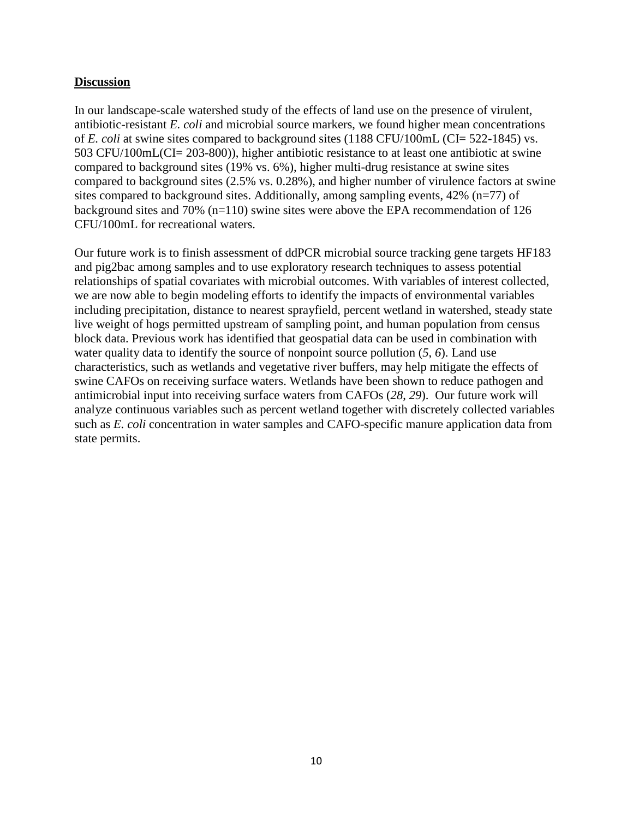### **Discussion**

In our landscape-scale watershed study of the effects of land use on the presence of virulent, antibiotic-resistant *E. coli* and microbial source markers, we found higher mean concentrations of *E. coli* at swine sites compared to background sites (1188 CFU/100mL (CI= 522-1845) vs. 503 CFU/100mL(CI= 203-800)), higher antibiotic resistance to at least one antibiotic at swine compared to background sites (19% vs. 6%), higher multi-drug resistance at swine sites compared to background sites (2.5% vs. 0.28%), and higher number of virulence factors at swine sites compared to background sites. Additionally, among sampling events, 42% (n=77) of background sites and 70% (n=110) swine sites were above the EPA recommendation of 126 CFU/100mL for recreational waters.

Our future work is to finish assessment of ddPCR microbial source tracking gene targets HF183 and pig2bac among samples and to use exploratory research techniques to assess potential relationships of spatial covariates with microbial outcomes. With variables of interest collected, we are now able to begin modeling efforts to identify the impacts of environmental variables including precipitation, distance to nearest sprayfield, percent wetland in watershed, steady state live weight of hogs permitted upstream of sampling point, and human population from census block data. Previous work has identified that geospatial data can be used in combination with water quality data to identify the source of nonpoint source pollution (*5*, *6*). Land use characteristics, such as wetlands and vegetative river buffers, may help mitigate the effects of swine CAFOs on receiving surface waters. Wetlands have been shown to reduce pathogen and antimicrobial input into receiving surface waters from CAFOs (*28*, *29*). Our future work will analyze continuous variables such as percent wetland together with discretely collected variables such as *E. coli* concentration in water samples and CAFO-specific manure application data from state permits.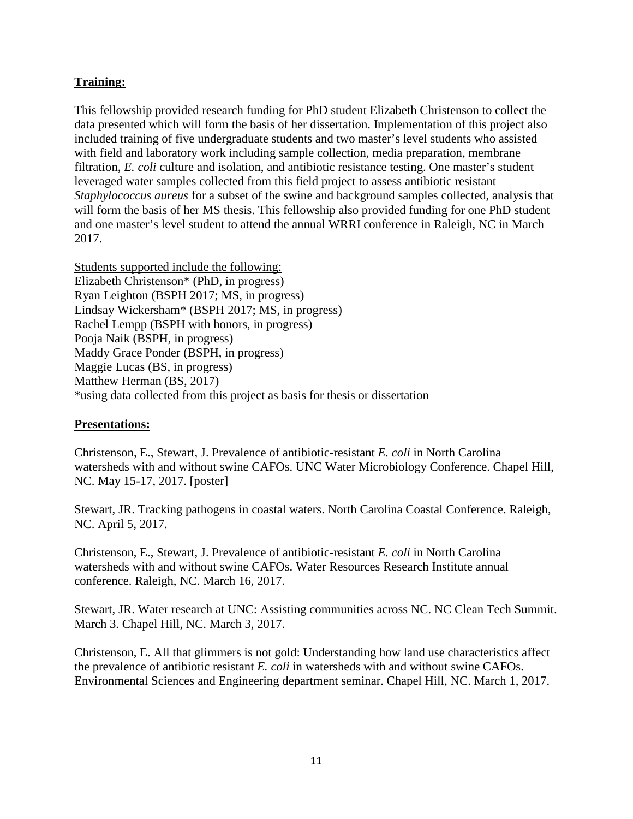# **Training:**

This fellowship provided research funding for PhD student Elizabeth Christenson to collect the data presented which will form the basis of her dissertation. Implementation of this project also included training of five undergraduate students and two master's level students who assisted with field and laboratory work including sample collection, media preparation, membrane filtration, *E. coli* culture and isolation, and antibiotic resistance testing. One master's student leveraged water samples collected from this field project to assess antibiotic resistant *Staphylococcus aureus* for a subset of the swine and background samples collected, analysis that will form the basis of her MS thesis. This fellowship also provided funding for one PhD student and one master's level student to attend the annual WRRI conference in Raleigh, NC in March 2017.

Students supported include the following: Elizabeth Christenson\* (PhD, in progress) Ryan Leighton (BSPH 2017; MS, in progress) Lindsay Wickersham\* (BSPH 2017; MS, in progress) Rachel Lempp (BSPH with honors, in progress) Pooja Naik (BSPH, in progress) Maddy Grace Ponder (BSPH, in progress) Maggie Lucas (BS, in progress) Matthew Herman (BS, 2017) \*using data collected from this project as basis for thesis or dissertation

## **Presentations:**

Christenson, E., Stewart, J. Prevalence of antibiotic-resistant *E. coli* in North Carolina watersheds with and without swine CAFOs. UNC Water Microbiology Conference. Chapel Hill, NC. May 15-17, 2017. [poster]

Stewart, JR. Tracking pathogens in coastal waters. North Carolina Coastal Conference. Raleigh, NC. April 5, 2017.

Christenson, E., Stewart, J. Prevalence of antibiotic-resistant *E. coli* in North Carolina watersheds with and without swine CAFOs. Water Resources Research Institute annual conference. Raleigh, NC. March 16, 2017.

Stewart, JR. Water research at UNC: Assisting communities across NC. NC Clean Tech Summit. March 3. Chapel Hill, NC. March 3, 2017.

Christenson, E. All that glimmers is not gold: Understanding how land use characteristics affect the prevalence of antibiotic resistant *E. coli* in watersheds with and without swine CAFOs. Environmental Sciences and Engineering department seminar. Chapel Hill, NC. March 1, 2017.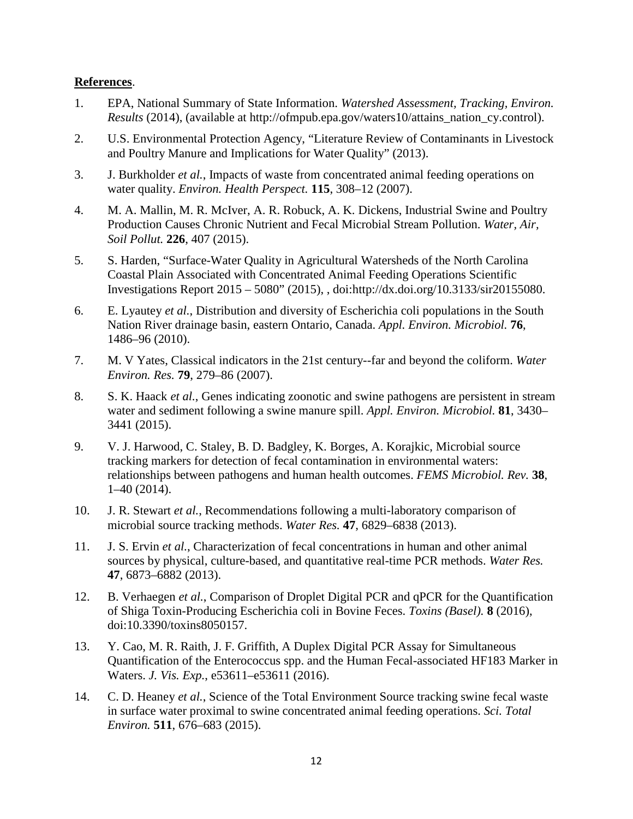### **References**.

- 1. EPA, National Summary of State Information. *Watershed Assessment, Tracking, Environ. Results* (2014), (available at http://ofmpub.epa.gov/waters10/attains\_nation\_cy.control).
- 2. U.S. Environmental Protection Agency, "Literature Review of Contaminants in Livestock and Poultry Manure and Implications for Water Quality" (2013).
- 3. J. Burkholder *et al.*, Impacts of waste from concentrated animal feeding operations on water quality. *Environ. Health Perspect.* **115**, 308–12 (2007).
- 4. M. A. Mallin, M. R. McIver, A. R. Robuck, A. K. Dickens, Industrial Swine and Poultry Production Causes Chronic Nutrient and Fecal Microbial Stream Pollution. *Water, Air, Soil Pollut.* **226**, 407 (2015).
- 5. S. Harden, "Surface-Water Quality in Agricultural Watersheds of the North Carolina Coastal Plain Associated with Concentrated Animal Feeding Operations Scientific Investigations Report 2015 – 5080" (2015), , doi:http://dx.doi.org/10.3133/sir20155080.
- 6. E. Lyautey *et al.*, Distribution and diversity of Escherichia coli populations in the South Nation River drainage basin, eastern Ontario, Canada. *Appl. Environ. Microbiol.* **76**, 1486–96 (2010).
- 7. M. V Yates, Classical indicators in the 21st century--far and beyond the coliform. *Water Environ. Res.* **79**, 279–86 (2007).
- 8. S. K. Haack *et al.*, Genes indicating zoonotic and swine pathogens are persistent in stream water and sediment following a swine manure spill. *Appl. Environ. Microbiol.* **81**, 3430– 3441 (2015).
- 9. V. J. Harwood, C. Staley, B. D. Badgley, K. Borges, A. Korajkic, Microbial source tracking markers for detection of fecal contamination in environmental waters: relationships between pathogens and human health outcomes. *FEMS Microbiol. Rev.* **38**, 1–40 (2014).
- 10. J. R. Stewart *et al.*, Recommendations following a multi-laboratory comparison of microbial source tracking methods. *Water Res.* **47**, 6829–6838 (2013).
- 11. J. S. Ervin *et al.*, Characterization of fecal concentrations in human and other animal sources by physical, culture-based, and quantitative real-time PCR methods. *Water Res.* **47**, 6873–6882 (2013).
- 12. B. Verhaegen *et al.*, Comparison of Droplet Digital PCR and qPCR for the Quantification of Shiga Toxin-Producing Escherichia coli in Bovine Feces. *Toxins (Basel).* **8** (2016), doi:10.3390/toxins8050157.
- 13. Y. Cao, M. R. Raith, J. F. Griffith, A Duplex Digital PCR Assay for Simultaneous Quantification of the Enterococcus spp. and the Human Fecal-associated HF183 Marker in Waters. *J. Vis. Exp.*, e53611–e53611 (2016).
- 14. C. D. Heaney *et al.*, Science of the Total Environment Source tracking swine fecal waste in surface water proximal to swine concentrated animal feeding operations. *Sci. Total Environ.* **511**, 676–683 (2015).